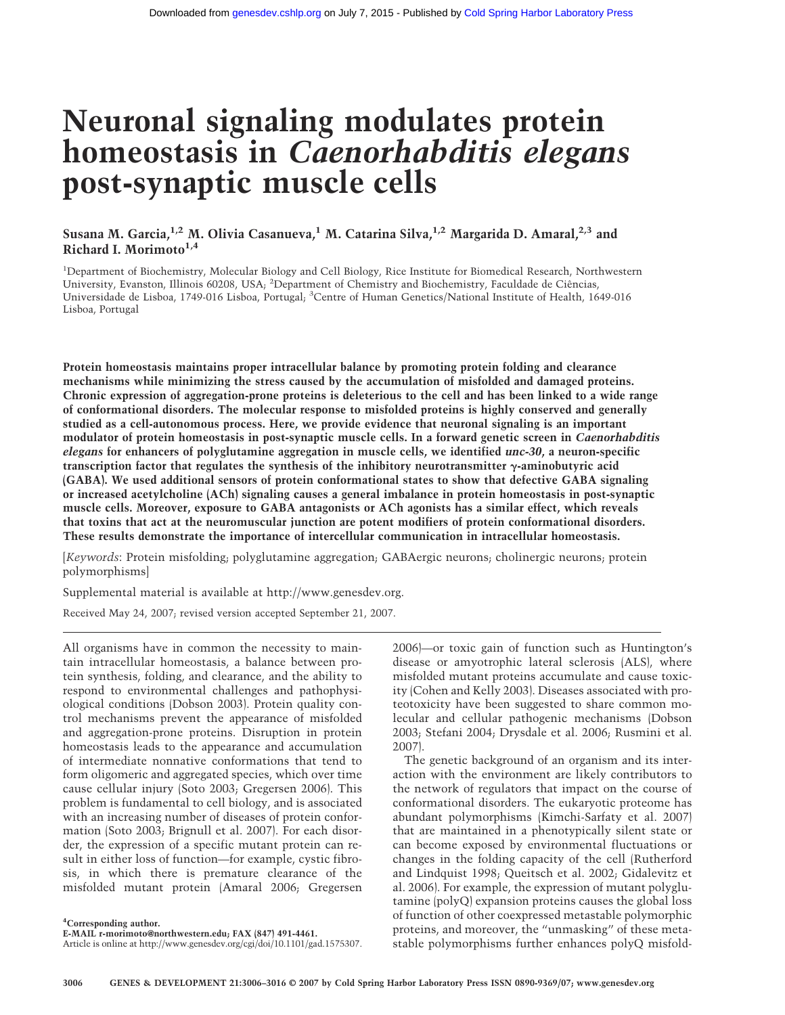# **Neuronal signaling modulates protein homeostasis in** *Caenorhabditis elegans* **post-synaptic muscle cells**

**Susana M. Garcia,1,2 M. Olivia Casanueva,1 M. Catarina Silva,1,2 Margarida D. Amaral,2,3 and Richard I. Morimoto1,4**

<sup>1</sup>Department of Biochemistry, Molecular Biology and Cell Biology, Rice Institute for Biomedical Research, Northwestern University, Evanston, Illinois 60208, USA; <sup>2</sup>Department of Chemistry and Biochemistry, Faculdade de Ciências, Universidade de Lisboa, 1749-016 Lisboa, Portugal; <sup>3</sup>Centre of Human Genetics/National Institute of Health, 1649-016 Lisboa, Portugal

**Protein homeostasis maintains proper intracellular balance by promoting protein folding and clearance mechanisms while minimizing the stress caused by the accumulation of misfolded and damaged proteins. Chronic expression of aggregation-prone proteins is deleterious to the cell and has been linked to a wide range of conformational disorders. The molecular response to misfolded proteins is highly conserved and generally studied as a cell-autonomous process. Here, we provide evidence that neuronal signaling is an important modulator of protein homeostasis in post-synaptic muscle cells. In a forward genetic screen in** *Caenorhabditis elegans* **for enhancers of polyglutamine aggregation in muscle cells, we identified** *unc-30***, a neuron-specific** transcription factor that regulates the synthesis of the inhibitory neurotransmitter  $\gamma$ -aminobutyric acid **(GABA). We used additional sensors of protein conformational states to show that defective GABA signaling or increased acetylcholine (ACh) signaling causes a general imbalance in protein homeostasis in post-synaptic muscle cells. Moreover, exposure to GABA antagonists or ACh agonists has a similar effect, which reveals that toxins that act at the neuromuscular junction are potent modifiers of protein conformational disorders. These results demonstrate the importance of intercellular communication in intracellular homeostasis.**

[*Keywords*: Protein misfolding; polyglutamine aggregation; GABAergic neurons; cholinergic neurons; protein polymorphisms]

Supplemental material is available at http://www.genesdev.org.

Received May 24, 2007; revised version accepted September 21, 2007.

All organisms have in common the necessity to maintain intracellular homeostasis, a balance between protein synthesis, folding, and clearance, and the ability to respond to environmental challenges and pathophysiological conditions (Dobson 2003). Protein quality control mechanisms prevent the appearance of misfolded and aggregation-prone proteins. Disruption in protein homeostasis leads to the appearance and accumulation of intermediate nonnative conformations that tend to form oligomeric and aggregated species, which over time cause cellular injury (Soto 2003; Gregersen 2006). This problem is fundamental to cell biology, and is associated with an increasing number of diseases of protein conformation (Soto 2003; Brignull et al. 2007). For each disorder, the expression of a specific mutant protein can result in either loss of function—for example, cystic fibrosis, in which there is premature clearance of the misfolded mutant protein (Amaral 2006; Gregersen

**4 Corresponding author.**

**E-MAIL r-morimoto@northwestern.edu; FAX (847) 491-4461.** Article is online at http://www.genesdev.org/cgi/doi/10.1101/gad.1575307. 2006)—or toxic gain of function such as Huntington's disease or amyotrophic lateral sclerosis (ALS), where misfolded mutant proteins accumulate and cause toxicity (Cohen and Kelly 2003). Diseases associated with proteotoxicity have been suggested to share common molecular and cellular pathogenic mechanisms (Dobson 2003; Stefani 2004; Drysdale et al. 2006; Rusmini et al. 2007).

The genetic background of an organism and its interaction with the environment are likely contributors to the network of regulators that impact on the course of conformational disorders. The eukaryotic proteome has abundant polymorphisms (Kimchi-Sarfaty et al. 2007) that are maintained in a phenotypically silent state or can become exposed by environmental fluctuations or changes in the folding capacity of the cell (Rutherford and Lindquist 1998; Queitsch et al. 2002; Gidalevitz et al. 2006). For example, the expression of mutant polyglutamine (polyQ) expansion proteins causes the global loss of function of other coexpressed metastable polymorphic proteins, and moreover, the "unmasking" of these metastable polymorphisms further enhances polyQ misfold-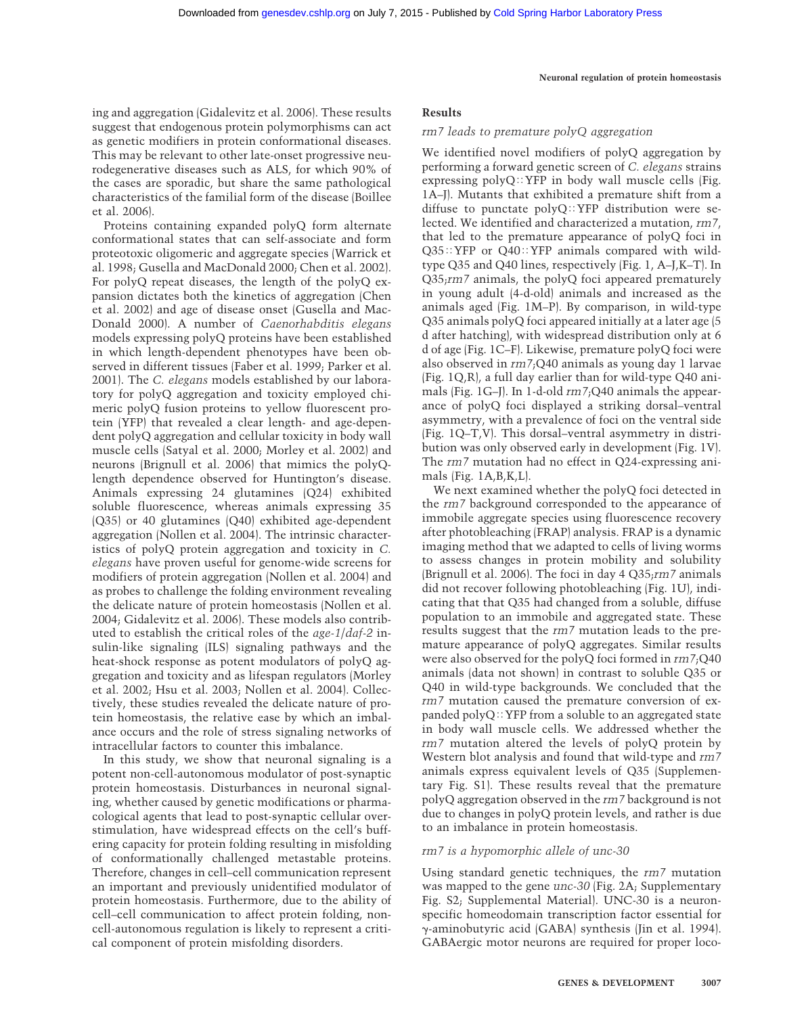ing and aggregation (Gidalevitz et al. 2006). These results suggest that endogenous protein polymorphisms can act as genetic modifiers in protein conformational diseases. This may be relevant to other late-onset progressive neurodegenerative diseases such as ALS, for which 90% of the cases are sporadic, but share the same pathological characteristics of the familial form of the disease (Boillee et al. 2006).

Proteins containing expanded polyQ form alternate conformational states that can self-associate and form proteotoxic oligomeric and aggregate species (Warrick et al. 1998; Gusella and MacDonald 2000; Chen et al. 2002). For polyQ repeat diseases, the length of the polyQ expansion dictates both the kinetics of aggregation (Chen et al. 2002) and age of disease onset (Gusella and Mac-Donald 2000). A number of *Caenorhabditis elegans* models expressing polyQ proteins have been established in which length-dependent phenotypes have been observed in different tissues (Faber et al. 1999; Parker et al. 2001). The *C. elegans* models established by our laboratory for polyQ aggregation and toxicity employed chimeric polyQ fusion proteins to yellow fluorescent protein (YFP) that revealed a clear length- and age-dependent polyQ aggregation and cellular toxicity in body wall muscle cells (Satyal et al. 2000; Morley et al. 2002) and neurons (Brignull et al. 2006) that mimics the polyQlength dependence observed for Huntington's disease. Animals expressing 24 glutamines (Q24) exhibited soluble fluorescence, whereas animals expressing 35 (Q35) or 40 glutamines (Q40) exhibited age-dependent aggregation (Nollen et al. 2004). The intrinsic characteristics of polyQ protein aggregation and toxicity in *C. elegans* have proven useful for genome-wide screens for modifiers of protein aggregation (Nollen et al. 2004) and as probes to challenge the folding environment revealing the delicate nature of protein homeostasis (Nollen et al. 2004; Gidalevitz et al. 2006). These models also contributed to establish the critical roles of the *age-1*/*daf-2* insulin-like signaling (ILS) signaling pathways and the heat-shock response as potent modulators of polyQ aggregation and toxicity and as lifespan regulators (Morley et al. 2002; Hsu et al. 2003; Nollen et al. 2004). Collectively, these studies revealed the delicate nature of protein homeostasis, the relative ease by which an imbalance occurs and the role of stress signaling networks of intracellular factors to counter this imbalance.

In this study, we show that neuronal signaling is a potent non-cell-autonomous modulator of post-synaptic protein homeostasis. Disturbances in neuronal signaling, whether caused by genetic modifications or pharmacological agents that lead to post-synaptic cellular overstimulation, have widespread effects on the cell's buffering capacity for protein folding resulting in misfolding of conformationally challenged metastable proteins. Therefore, changes in cell–cell communication represent an important and previously unidentified modulator of protein homeostasis. Furthermore, due to the ability of cell–cell communication to affect protein folding, noncell-autonomous regulation is likely to represent a critical component of protein misfolding disorders.

# **Results**

#### *rm7 leads to premature polyQ aggregation*

We identified novel modifiers of polyQ aggregation by performing a forward genetic screen of *C. elegans* strains expressing  $polyQ::YFP$  in body wall muscle cells (Fig. 1A–J). Mutants that exhibited a premature shift from a diffuse to punctate  $polyQ::YFP$  distribution were selected. We identified and characterized a mutation, *rm7*, that led to the premature appearance of polyQ foci in  $Q35::YFP$  or  $Q40::YFP$  animals compared with wildtype Q35 and Q40 lines, respectively (Fig. 1, A–J,K–T). In Q35;*rm7* animals, the polyQ foci appeared prematurely in young adult (4-d-old) animals and increased as the animals aged (Fig. 1M–P). By comparison, in wild-type Q35 animals polyQ foci appeared initially at a later age (5 d after hatching), with widespread distribution only at 6 d of age (Fig. 1C–F). Likewise, premature polyQ foci were also observed in *rm7*;Q40 animals as young day 1 larvae (Fig. 1Q,R), a full day earlier than for wild-type Q40 animals (Fig. 1G–J). In 1-d-old *rm7*;Q40 animals the appearance of polyQ foci displayed a striking dorsal–ventral asymmetry, with a prevalence of foci on the ventral side (Fig. 1Q–T,V). This dorsal–ventral asymmetry in distribution was only observed early in development (Fig. 1V). The *rm7* mutation had no effect in Q24-expressing animals (Fig. 1A,B,K,L).

We next examined whether the polyQ foci detected in the *rm7* background corresponded to the appearance of immobile aggregate species using fluorescence recovery after photobleaching (FRAP) analysis. FRAP is a dynamic imaging method that we adapted to cells of living worms to assess changes in protein mobility and solubility (Brignull et al. 2006). The foci in day 4 Q35;*rm7* animals did not recover following photobleaching (Fig. 1U), indicating that that Q35 had changed from a soluble, diffuse population to an immobile and aggregated state. These results suggest that the *rm7* mutation leads to the premature appearance of polyQ aggregates. Similar results were also observed for the polyQ foci formed in *rm7*;Q40 animals (data not shown) in contrast to soluble Q35 or Q40 in wild-type backgrounds. We concluded that the *rm7* mutation caused the premature conversion of expanded  $\text{polyQ}$ : YFP from a soluble to an aggregated state in body wall muscle cells. We addressed whether the *rm7* mutation altered the levels of polyQ protein by Western blot analysis and found that wild-type and *rm7* animals express equivalent levels of Q35 (Supplementary Fig. S1). These results reveal that the premature polyQ aggregation observed in the *rm7* background is not due to changes in polyQ protein levels, and rather is due to an imbalance in protein homeostasis.

## *rm7 is a hypomorphic allele of unc-30*

Using standard genetic techniques, the *rm7* mutation was mapped to the gene *unc-30* (Fig. 2A; Supplementary Fig. S2; Supplemental Material). UNC-30 is a neuronspecific homeodomain transcription factor essential for -aminobutyric acid (GABA) synthesis (Jin et al. 1994). GABAergic motor neurons are required for proper loco-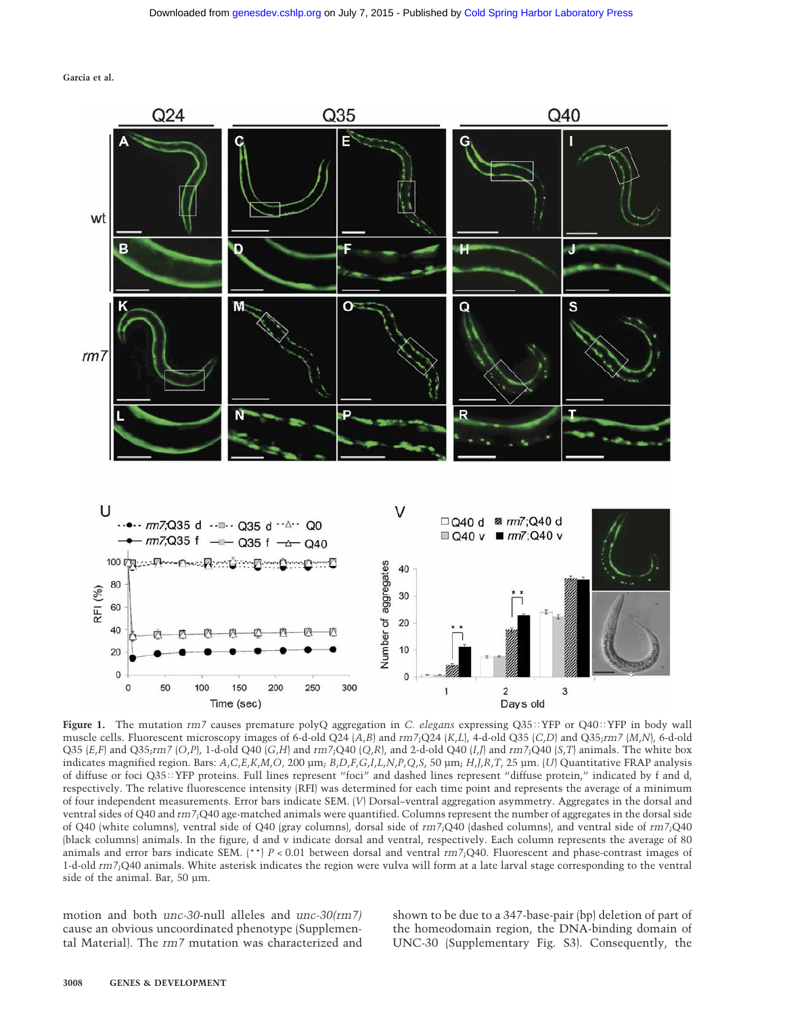

Figure 1. The mutation  $rm7$  causes premature polyQ aggregation in *C. elegans* expressing Q35::YFP or Q40::YFP in body wall muscle cells. Fluorescent microscopy images of 6-d-old Q24 (*A*,*B*) and *rm7*;Q24 (*K*,*L*), 4-d-old Q35 (*C*,*D*) and Q35;*rm7* (*M*,*N*), 6-d-old Q35  $(E,F)$  and Q35; $rm$ 7 (O,P), 1-d-old Q40 (G,H) and  $rm$ ;Q40 (Q,R), and 2-d-old Q40 (I,J) and  $rm$ ?;Q40 (S,T) animals. The white box indicates magnified region. Bars:  $A, C, E, K, M, O$ , 200 µm;  $B, D, F, G, I, L, N, P, Q, S$ , 50 µm;  $H, J, R, T$ , 25 µm. (U) Quantitative FRAP analysis of diffuse or foci Q35: YFP proteins. Full lines represent "foci" and dashed lines represent "diffuse protein," indicated by f and d, respectively. The relative fluorescence intensity (RFI) was determined for each time point and represents the average of a minimum of four independent measurements. Error bars indicate SEM. (*V*) Dorsal–ventral aggregation asymmetry. Aggregates in the dorsal and ventral sides of Q40 and *rm7*;Q40 age-matched animals were quantified. Columns represent the number of aggregates in the dorsal side of Q40 (white columns), ventral side of Q40 (gray columns), dorsal side of *rm7*;Q40 (dashed columns), and ventral side of *rm7*;Q40 (black columns) animals. In the figure, d and v indicate dorsal and ventral, respectively. Each column represents the average of 80 animals and error bars indicate SEM. (\*\*) *P* < 0.01 between dorsal and ventral *rm7*;Q40. Fluorescent and phase-contrast images of 1-d-old *rm7*;Q40 animals. White asterisk indicates the region were vulva will form at a late larval stage corresponding to the ventral side of the animal. Bar, 50  $\mu$ m.

motion and both *unc-30*-null alleles and *unc-30(rm7)* cause an obvious uncoordinated phenotype (Supplemental Material). The *rm7* mutation was characterized and shown to be due to a 347-base-pair (bp) deletion of part of the homeodomain region, the DNA-binding domain of UNC-30 (Supplementary Fig. S3). Consequently, the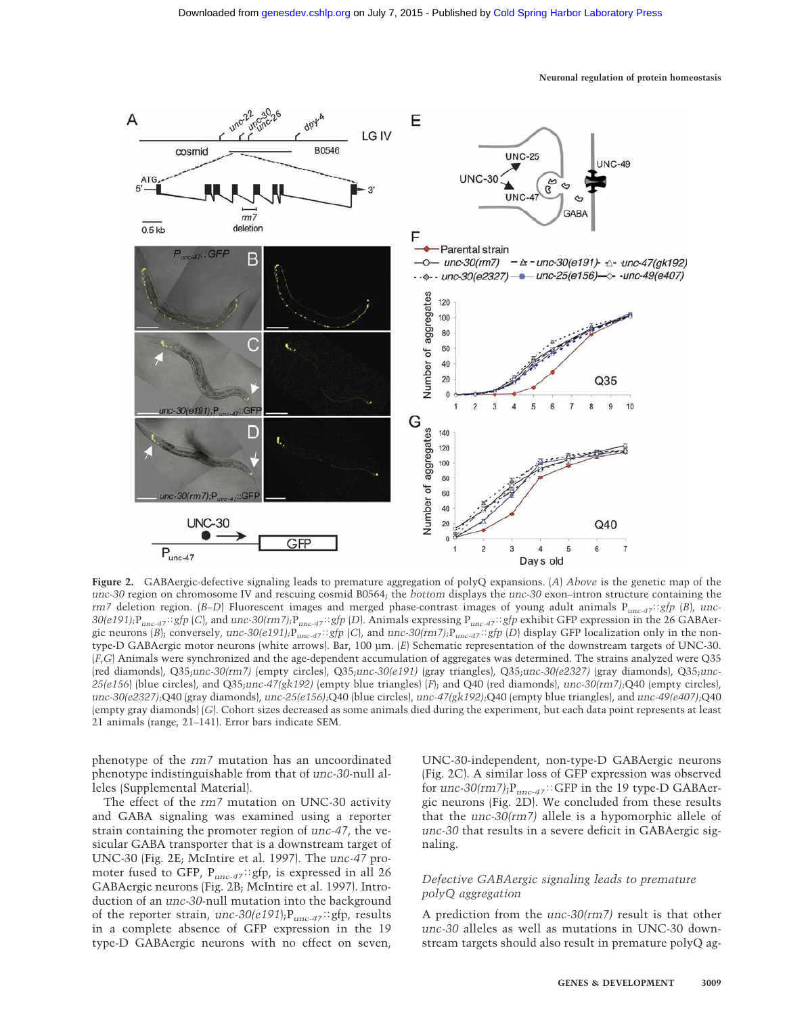

**Figure 2.** GABAergic-defective signaling leads to premature aggregation of polyQ expansions. (*A*) *Above* is the genetic map of the *unc-30* region on chromosome IV and rescuing cosmid B0564; the *bottom* displays the *unc-30* exon–intron structure containing the *rm7* deletion region. (*B–D*) Fluorescent images and merged phase-contrast images of young adult animals  $P_{unc-47}$ *; gfp* (*B*), *unc*- $30(e191)$ ; P<sub>unc-47</sub> $\therefore$  gfp (C), and *unc-30(rm7)*; P<sub>unc-47</sub> $\therefore$  gfp (D). Animals expressing P<sub>unc-47</sub> $\therefore$  gfp exhibit GFP expression in the 26 GABAergic neurons  $(B)$ ; conversely,  $unc-30(e191)$ ;  $P_{unc-47}$ :  $gfp$  (*C*), and  $unc-30(rm7)$ ;  $P_{unc-47}$ :  $gfp$  (*D*) display GFP localization only in the nontype-D GABAergic motor neurons (white arrows). Bar, 100 µm. (*E*) Schematic representation of the downstream targets of UNC-30. (*F*,*G*) Animals were synchronized and the age-dependent accumulation of aggregates was determined. The strains analyzed were Q35 (red diamonds), Q35;*unc-30(rm7)* (empty circles), Q35;*unc-30(e191)* (gray triangles), Q35;*unc-30(e2327)* (gray diamonds), Q35;*unc-25(e156*) (blue circles), and Q35;*unc-47(gk192)* (empty blue triangles) (*F*); and Q40 (red diamonds), *unc-30(rm7);*Q40 (empty circles), *unc-30(e2327);*Q40 (gray diamonds), *unc-25(e156);*Q40 (blue circles), *unc-47(gk192);*Q40 (empty blue triangles), and *unc-49(e407);*Q40 (empty gray diamonds) (*G*). Cohort sizes decreased as some animals died during the experiment, but each data point represents at least 21 animals (range, 21–141). Error bars indicate SEM.

phenotype of the *rm7* mutation has an uncoordinated phenotype indistinguishable from that of *unc-30*-null alleles (Supplemental Material).

The effect of the *rm7* mutation on UNC-30 activity and GABA signaling was examined using a reporter strain containing the promoter region of *unc-47*, the vesicular GABA transporter that is a downstream target of UNC-30 (Fig. 2E; McIntire et al. 1997). The *unc-47* promoter fused to GFP,  $P_{unc-47}$ : gfp, is expressed in all 26 GABAergic neurons (Fig. 2B; McIntire et al. 1997). Introduction of an *unc-30*-null mutation into the background of the reporter strain, *unc-30(e191*);P<sub>unc-47</sub>: gfp, results in a complete absence of GFP expression in the 19 type-D GABAergic neurons with no effect on seven,

UNC-30-independent, non-type-D GABAergic neurons (Fig. 2C). A similar loss of GFP expression was observed for *unc-30(rm7)*; P<sub>unc-47</sub>: GFP in the 19 type-D GABAergic neurons (Fig. 2D). We concluded from these results that the *unc-30(rm7)* allele is a hypomorphic allele of *unc-30* that results in a severe deficit in GABAergic signaling.

# *Defective GABAergic signaling leads to premature polyQ aggregation*

A prediction from the *unc-30(rm7)* result is that other *unc-30* alleles as well as mutations in UNC-30 downstream targets should also result in premature polyQ ag-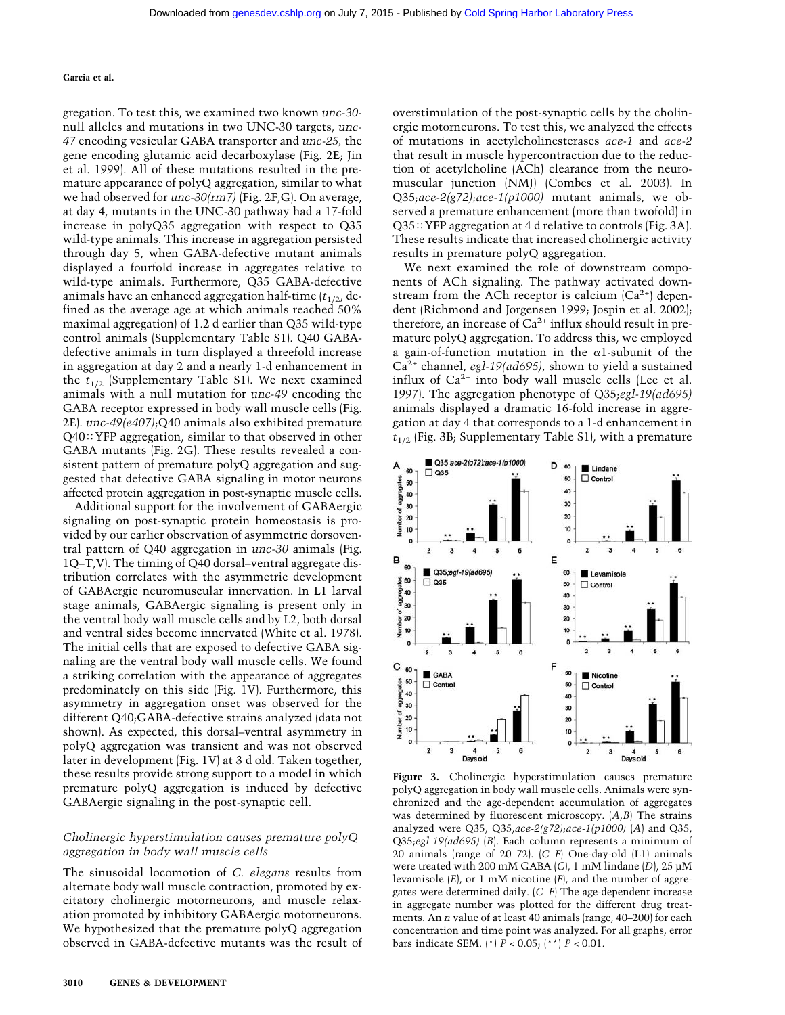gregation. To test this, we examined two known *unc-30* null alleles and mutations in two UNC-30 targets, *unc-47* encoding vesicular GABA transporter and *unc-25,* the gene encoding glutamic acid decarboxylase (Fig. 2E; Jin et al. 1999). All of these mutations resulted in the premature appearance of polyQ aggregation, similar to what we had observed for *unc-30(rm7)* (Fig. 2F,G). On average, at day 4, mutants in the UNC-30 pathway had a 17-fold increase in polyQ35 aggregation with respect to Q35 wild-type animals. This increase in aggregation persisted through day 5, when GABA-defective mutant animals displayed a fourfold increase in aggregates relative to wild-type animals. Furthermore, Q35 GABA-defective animals have an enhanced aggregation half-time  $(t_{1/2},$  defined as the average age at which animals reached 50% maximal aggregation) of 1.2 d earlier than Q35 wild-type control animals (Supplementary Table S1). Q40 GABAdefective animals in turn displayed a threefold increase in aggregation at day 2 and a nearly 1-d enhancement in the  $t_{1/2}$  (Supplementary Table S1). We next examined animals with a null mutation for *unc-49* encoding the GABA receptor expressed in body wall muscle cells (Fig. 2E). *unc-49(e407)*;Q40 animals also exhibited premature  $Q40$ : YFP aggregation, similar to that observed in other GABA mutants (Fig. 2G). These results revealed a consistent pattern of premature polyQ aggregation and suggested that defective GABA signaling in motor neurons affected protein aggregation in post-synaptic muscle cells.

Additional support for the involvement of GABAergic signaling on post-synaptic protein homeostasis is provided by our earlier observation of asymmetric dorsoventral pattern of Q40 aggregation in *unc-30* animals (Fig. 1Q–T,V). The timing of Q40 dorsal–ventral aggregate distribution correlates with the asymmetric development of GABAergic neuromuscular innervation. In L1 larval stage animals, GABAergic signaling is present only in the ventral body wall muscle cells and by L2, both dorsal and ventral sides become innervated (White et al. 1978). The initial cells that are exposed to defective GABA signaling are the ventral body wall muscle cells. We found a striking correlation with the appearance of aggregates predominately on this side (Fig. 1V). Furthermore, this asymmetry in aggregation onset was observed for the different Q40;GABA-defective strains analyzed (data not shown). As expected, this dorsal–ventral asymmetry in polyQ aggregation was transient and was not observed later in development (Fig. 1V) at 3 d old. Taken together, these results provide strong support to a model in which premature polyQ aggregation is induced by defective GABAergic signaling in the post-synaptic cell.

# *Cholinergic hyperstimulation causes premature polyQ aggregation in body wall muscle cells*

The sinusoidal locomotion of *C. elegans* results from alternate body wall muscle contraction, promoted by excitatory cholinergic motorneurons, and muscle relaxation promoted by inhibitory GABAergic motorneurons. We hypothesized that the premature polyQ aggregation observed in GABA-defective mutants was the result of overstimulation of the post-synaptic cells by the cholinergic motorneurons. To test this, we analyzed the effects of mutations in acetylcholinesterases *ace-1* and *ace-2* that result in muscle hypercontraction due to the reduction of acetylcholine (ACh) clearance from the neuromuscular junction (NMJ) (Combes et al. 2003). In Q35;*ace-2(g72);ace-1(p1000)* mutant animals, we observed a premature enhancement (more than twofold) in  $Q35: YFP$  aggregation at 4 d relative to controls (Fig. 3A). These results indicate that increased cholinergic activity results in premature polyQ aggregation.

We next examined the role of downstream components of ACh signaling. The pathway activated downstream from the ACh receptor is calcium  $(Ca^{2+})$  dependent (Richmond and Jorgensen 1999; Jospin et al. 2002); therefore, an increase of  $Ca^{2+}$  influx should result in premature polyQ aggregation. To address this, we employed a gain-of-function mutation in the  $\alpha$ 1-subunit of the Ca2+ channel, *egl-19(ad695),* shown to yield a sustained influx of  $Ca^{2+}$  into body wall muscle cells (Lee et al. 1997). The aggregation phenotype of Q35;*egl-19(ad695)* animals displayed a dramatic 16-fold increase in aggregation at day 4 that corresponds to a 1-d enhancement in *t*1/2 (Fig. 3B; Supplementary Table S1), with a premature



**Figure 3.** Cholinergic hyperstimulation causes premature polyQ aggregation in body wall muscle cells. Animals were synchronized and the age-dependent accumulation of aggregates was determined by fluorescent microscopy. (*A*,*B*) The strains analyzed were Q35, Q35,*ace-2(g72);ace-1(p1000)* (*A*) and Q35, Q35;*egl-19(ad695)* (*B*). Each column represents a minimum of 20 animals (range of 20–72). (*C–F*) One-day-old (L1) animals were treated with 200 mM GABA (*C*), 1 mM lindane (*D*), 25 µM levamisole (*E*), or 1 mM nicotine (*F*), and the number of aggregates were determined daily. (*C–F*) The age-dependent increase in aggregate number was plotted for the different drug treatments. An *n* value of at least 40 animals (range, 40–200) for each concentration and time point was analyzed. For all graphs, error bars indicate SEM. (\*) *P* < 0.05; (\*\*) *P* < 0.01.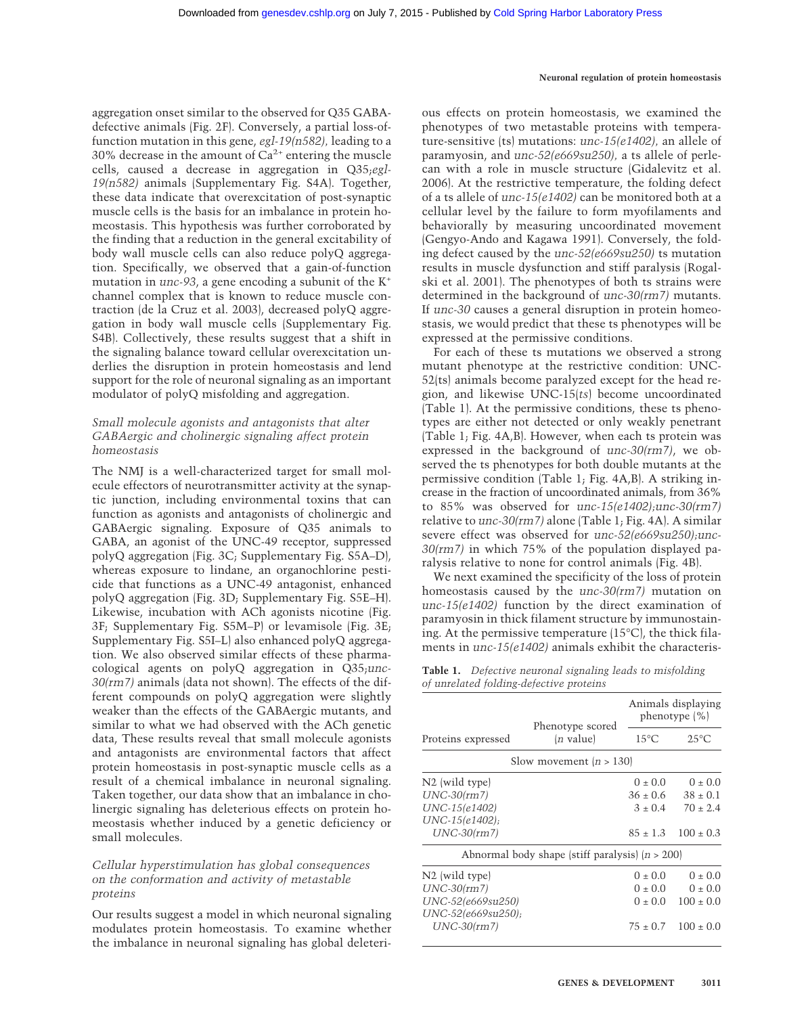aggregation onset similar to the observed for Q35 GABAdefective animals (Fig. 2F). Conversely, a partial loss-offunction mutation in this gene, *egl-19(n582),* leading to a 30% decrease in the amount of  $Ca^{2+}$  entering the muscle cells, caused a decrease in aggregation in Q35;*egl-19(n582)* animals (Supplementary Fig. S4A). Together, these data indicate that overexcitation of post-synaptic muscle cells is the basis for an imbalance in protein homeostasis. This hypothesis was further corroborated by the finding that a reduction in the general excitability of body wall muscle cells can also reduce polyQ aggregation. Specifically, we observed that a gain-of-function mutation in *unc-93*, a gene encoding a subunit of the K+ channel complex that is known to reduce muscle contraction (de la Cruz et al. 2003), decreased polyQ aggregation in body wall muscle cells (Supplementary Fig. S4B). Collectively, these results suggest that a shift in the signaling balance toward cellular overexcitation underlies the disruption in protein homeostasis and lend support for the role of neuronal signaling as an important modulator of polyQ misfolding and aggregation.

# *Small molecule agonists and antagonists that alter GABAergic and cholinergic signaling affect protein homeostasis*

The NMJ is a well-characterized target for small molecule effectors of neurotransmitter activity at the synaptic junction, including environmental toxins that can function as agonists and antagonists of cholinergic and GABAergic signaling. Exposure of Q35 animals to GABA, an agonist of the UNC-49 receptor, suppressed polyQ aggregation (Fig. 3C; Supplementary Fig. S5A–D), whereas exposure to lindane, an organochlorine pesticide that functions as a UNC-49 antagonist, enhanced polyQ aggregation (Fig. 3D; Supplementary Fig. S5E–H). Likewise, incubation with ACh agonists nicotine (Fig. 3F; Supplementary Fig. S5M–P) or levamisole (Fig. 3E; Supplementary Fig. S5I–L) also enhanced polyQ aggregation. We also observed similar effects of these pharmacological agents on polyQ aggregation in Q35;*unc-30(rm7)* animals (data not shown). The effects of the different compounds on polyQ aggregation were slightly weaker than the effects of the GABAergic mutants, and similar to what we had observed with the ACh genetic data, These results reveal that small molecule agonists and antagonists are environmental factors that affect protein homeostasis in post-synaptic muscle cells as a result of a chemical imbalance in neuronal signaling. Taken together, our data show that an imbalance in cholinergic signaling has deleterious effects on protein homeostasis whether induced by a genetic deficiency or small molecules.

# *Cellular hyperstimulation has global consequences on the conformation and activity of metastable proteins*

Our results suggest a model in which neuronal signaling modulates protein homeostasis. To examine whether the imbalance in neuronal signaling has global deleterious effects on protein homeostasis, we examined the phenotypes of two metastable proteins with temperature-sensitive (ts) mutations: *unc-15(e1402),* an allele of paramyosin, and *unc-52(e669su250),* a ts allele of perlecan with a role in muscle structure (Gidalevitz et al. 2006). At the restrictive temperature, the folding defect of a ts allele of *unc-15(e1402)* can be monitored both at a cellular level by the failure to form myofilaments and behaviorally by measuring uncoordinated movement (Gengyo-Ando and Kagawa 1991). Conversely, the folding defect caused by the *unc-52(e669su250)* ts mutation results in muscle dysfunction and stiff paralysis (Rogalski et al. 2001). The phenotypes of both ts strains were determined in the background of *unc-30(rm7)* mutants. If *unc-30* causes a general disruption in protein homeostasis, we would predict that these ts phenotypes will be expressed at the permissive conditions.

For each of these ts mutations we observed a strong mutant phenotype at the restrictive condition: UNC-52(ts) animals become paralyzed except for the head region, and likewise UNC-15(*ts*) become uncoordinated (Table 1). At the permissive conditions, these ts phenotypes are either not detected or only weakly penetrant (Table 1; Fig. 4A,B). However, when each ts protein was expressed in the background of *unc-30(rm7)*, we observed the ts phenotypes for both double mutants at the permissive condition (Table 1; Fig. 4A,B). A striking increase in the fraction of uncoordinated animals, from 36% to 85% was observed for *unc-15(e1402);unc-30(rm7)* relative to *unc-30(rm7)* alone (Table 1; Fig. 4A). A similar severe effect was observed for *unc-52(e669su250);unc-30(rm7)* in which 75% of the population displayed paralysis relative to none for control animals (Fig. 4B).

We next examined the specificity of the loss of protein homeostasis caused by the *unc-30(rm7)* mutation on *unc-15(e1402)* function by the direct examination of paramyosin in thick filament structure by immunostaining. At the permissive temperature (15°C), the thick filaments in *unc-15(e1402)* animals exhibit the characteris-

**Table 1.** *Defective neuronal signaling leads to misfolding of unrelated folding-defective proteins*

|                            | Phenotype scored<br>$(n$ value                    | Animals displaying<br>phenotype $(\% )$ |                |
|----------------------------|---------------------------------------------------|-----------------------------------------|----------------|
| Proteins expressed         |                                                   | $15^{\circ}$ C                          | $25^{\circ}$ C |
|                            | Slow movement $(n > 130)$                         |                                         |                |
| N <sub>2</sub> (wild type) |                                                   | $0 \pm 0.0$                             | $0 \pm 0.0$    |
| $UNC-30(rm7)$              |                                                   | $36 \pm 0.6$                            | $38 \pm 0.1$   |
| UNC-15(e1402)              |                                                   | $3 \pm 0.4$                             | $70 \pm 2.4$   |
| UNC-15(e1402);             |                                                   |                                         |                |
| $UNC-30(rm7)$              |                                                   | $85 \pm 1.3$                            | $100 \pm 0.3$  |
|                            | Abnormal body shape (stiff paralysis) $(n > 200)$ |                                         |                |
| N <sub>2</sub> (wild type) |                                                   | $0 \pm 0.0$                             | $0 \pm 0.0$    |
| <i>UNC-30(rm7)</i>         |                                                   | $0 \pm 0.0$                             | $0 \pm 0.0$    |
| UNC-52(e669su250)          |                                                   | $0 \pm 0.0$                             | $100 \pm 0.0$  |
| UNC-52(e669su250);         |                                                   |                                         |                |
| $UNC-30$ $(rm7)$           |                                                   | $75 \pm 0.7$                            | $100 \pm 0.0$  |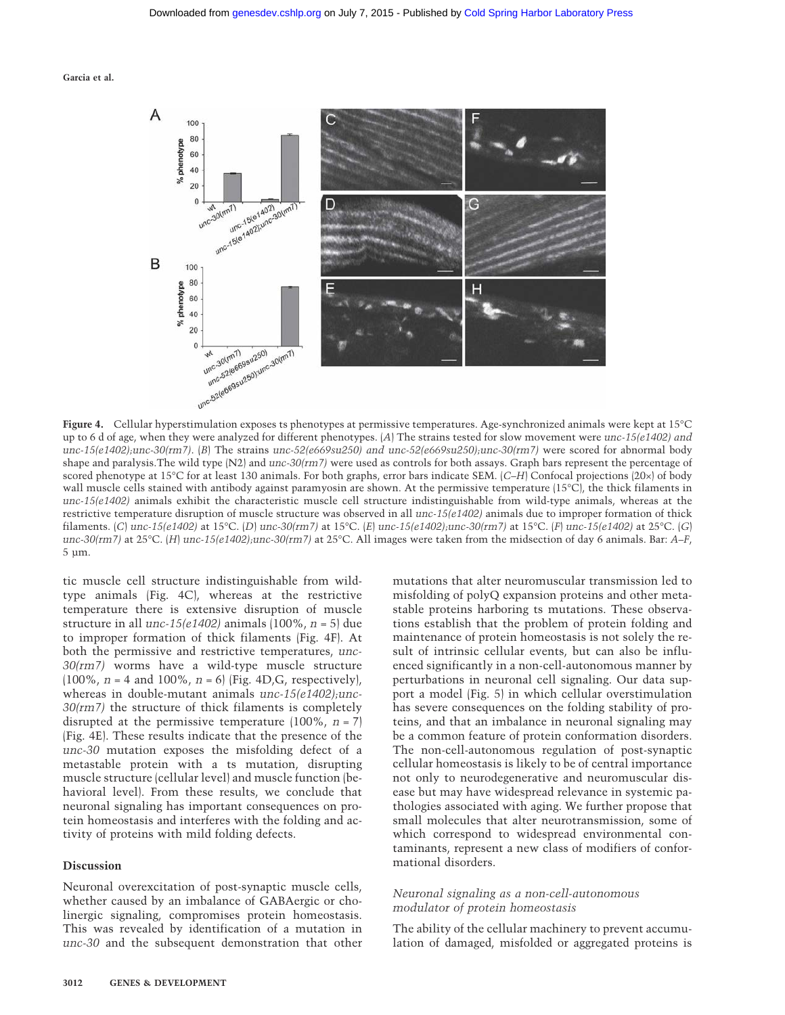

**Figure 4.** Cellular hyperstimulation exposes ts phenotypes at permissive temperatures. Age-synchronized animals were kept at 15°C up to 6 d of age, when they were analyzed for different phenotypes. (*A*) The strains tested for slow movement were *unc-15(e1402) and unc-15(e1402);unc-30(rm7)*. (*B*) The strains *unc-52(e669su250) and unc-52(e669su250);unc-30(rm7)* were scored for abnormal body shape and paralysis.The wild type (N2) and *unc-30(rm7)* were used as controls for both assays. Graph bars represent the percentage of scored phenotype at 15°C for at least 130 animals. For both graphs, error bars indicate SEM. (*C–H*) Confocal projections (20×) of body wall muscle cells stained with antibody against paramyosin are shown. At the permissive temperature (15°C), the thick filaments in *unc-15(e1402)* animals exhibit the characteristic muscle cell structure indistinguishable from wild-type animals, whereas at the restrictive temperature disruption of muscle structure was observed in all *unc-15(e1402)* animals due to improper formation of thick filaments. (*C*) *unc-15(e1402)* at 15°C. (*D*) *unc-30(rm7)* at 15°C. (*E*) *unc-15(e1402);unc-30(rm7)* at 15°C. (*F*) *unc-15(e1402)* at 25°C. (*G*) *unc-30(rm7)* at 25°C. (*H*) *unc-15(e1402);unc-30(rm7)* at 25°C. All images were taken from the midsection of day 6 animals. Bar: *A–F*, 5 µm.

tic muscle cell structure indistinguishable from wildtype animals (Fig. 4C), whereas at the restrictive temperature there is extensive disruption of muscle structure in all *unc-15(e1402)* animals (100%, *n* = 5) due to improper formation of thick filaments (Fig. 4F). At both the permissive and restrictive temperatures, *unc-30(rm7)* worms have a wild-type muscle structure (100%, *n* = 4 and 100%, *n* = 6) (Fig. 4D,G, respectively), whereas in double-mutant animals *unc-15(e1402);unc-30(rm7)* the structure of thick filaments is completely disrupted at the permissive temperature  $(100\%, n = 7)$ (Fig. 4E). These results indicate that the presence of the *unc-30* mutation exposes the misfolding defect of a metastable protein with a ts mutation, disrupting muscle structure (cellular level) and muscle function (behavioral level). From these results, we conclude that neuronal signaling has important consequences on protein homeostasis and interferes with the folding and activity of proteins with mild folding defects.

# **Discussion**

Neuronal overexcitation of post-synaptic muscle cells, whether caused by an imbalance of GABAergic or cholinergic signaling, compromises protein homeostasis. This was revealed by identification of a mutation in *unc-30* and the subsequent demonstration that other mutations that alter neuromuscular transmission led to misfolding of polyQ expansion proteins and other metastable proteins harboring ts mutations. These observations establish that the problem of protein folding and maintenance of protein homeostasis is not solely the result of intrinsic cellular events, but can also be influenced significantly in a non-cell-autonomous manner by perturbations in neuronal cell signaling. Our data support a model (Fig. 5) in which cellular overstimulation has severe consequences on the folding stability of proteins, and that an imbalance in neuronal signaling may be a common feature of protein conformation disorders. The non-cell-autonomous regulation of post-synaptic cellular homeostasis is likely to be of central importance not only to neurodegenerative and neuromuscular disease but may have widespread relevance in systemic pathologies associated with aging. We further propose that small molecules that alter neurotransmission, some of which correspond to widespread environmental contaminants, represent a new class of modifiers of conformational disorders.

# *Neuronal signaling as a non-cell-autonomous modulator of protein homeostasis*

The ability of the cellular machinery to prevent accumulation of damaged, misfolded or aggregated proteins is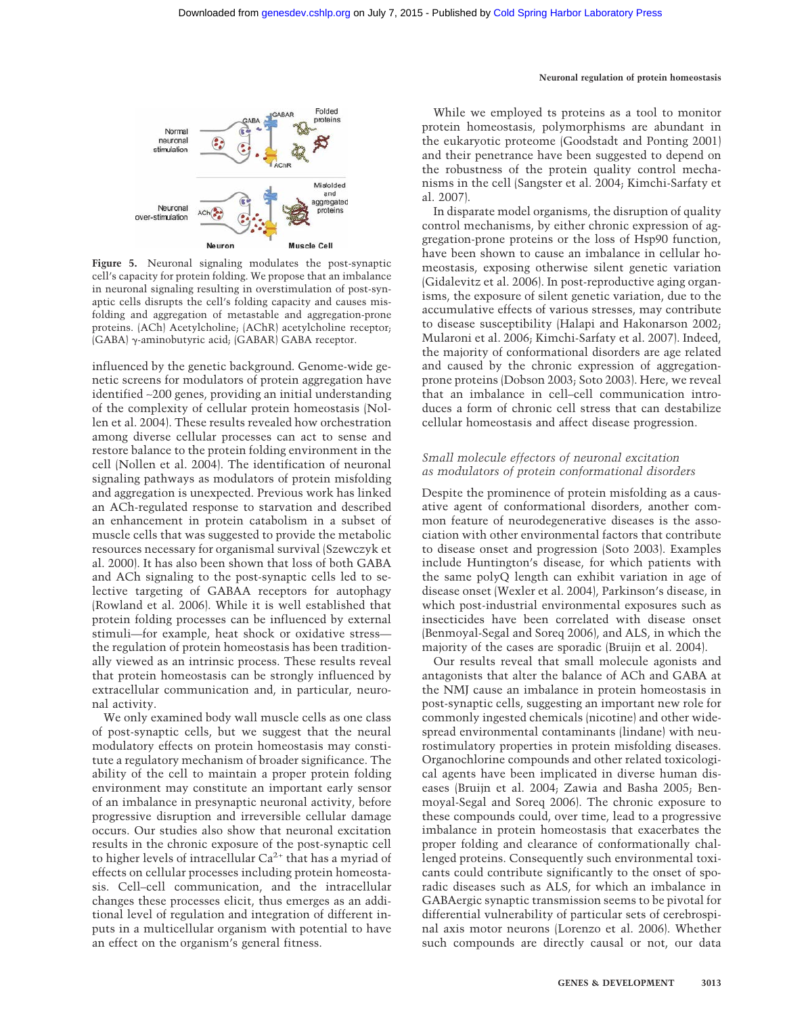

**Figure 5.** Neuronal signaling modulates the post-synaptic cell's capacity for protein folding. We propose that an imbalance in neuronal signaling resulting in overstimulation of post-synaptic cells disrupts the cell's folding capacity and causes misfolding and aggregation of metastable and aggregation-prone proteins. (ACh) Acetylcholine; (AChR) acetylcholine receptor;  $(GABA)$   $\gamma$ -aminobutyric acid;  $(GABA)$  GABA receptor.

influenced by the genetic background. Genome-wide genetic screens for modulators of protein aggregation have identified ∼200 genes, providing an initial understanding of the complexity of cellular protein homeostasis (Nollen et al. 2004). These results revealed how orchestration among diverse cellular processes can act to sense and restore balance to the protein folding environment in the cell (Nollen et al. 2004). The identification of neuronal signaling pathways as modulators of protein misfolding and aggregation is unexpected. Previous work has linked an ACh-regulated response to starvation and described an enhancement in protein catabolism in a subset of muscle cells that was suggested to provide the metabolic resources necessary for organismal survival (Szewczyk et al. 2000). It has also been shown that loss of both GABA and ACh signaling to the post-synaptic cells led to selective targeting of GABAA receptors for autophagy (Rowland et al. 2006). While it is well established that protein folding processes can be influenced by external stimuli—for example, heat shock or oxidative stress the regulation of protein homeostasis has been traditionally viewed as an intrinsic process. These results reveal that protein homeostasis can be strongly influenced by extracellular communication and, in particular, neuronal activity.

We only examined body wall muscle cells as one class of post-synaptic cells, but we suggest that the neural modulatory effects on protein homeostasis may constitute a regulatory mechanism of broader significance. The ability of the cell to maintain a proper protein folding environment may constitute an important early sensor of an imbalance in presynaptic neuronal activity, before progressive disruption and irreversible cellular damage occurs. Our studies also show that neuronal excitation results in the chronic exposure of the post-synaptic cell to higher levels of intracellular  $Ca^{2+}$  that has a myriad of effects on cellular processes including protein homeostasis. Cell–cell communication, and the intracellular changes these processes elicit, thus emerges as an additional level of regulation and integration of different inputs in a multicellular organism with potential to have an effect on the organism's general fitness.

While we employed ts proteins as a tool to monitor protein homeostasis, polymorphisms are abundant in the eukaryotic proteome (Goodstadt and Ponting 2001) and their penetrance have been suggested to depend on the robustness of the protein quality control mechanisms in the cell (Sangster et al. 2004; Kimchi-Sarfaty et al. 2007).

In disparate model organisms, the disruption of quality control mechanisms, by either chronic expression of aggregation-prone proteins or the loss of Hsp90 function, have been shown to cause an imbalance in cellular homeostasis, exposing otherwise silent genetic variation (Gidalevitz et al. 2006). In post-reproductive aging organisms, the exposure of silent genetic variation, due to the accumulative effects of various stresses, may contribute to disease susceptibility (Halapi and Hakonarson 2002; Mularoni et al. 2006; Kimchi-Sarfaty et al. 2007). Indeed, the majority of conformational disorders are age related and caused by the chronic expression of aggregationprone proteins (Dobson 2003; Soto 2003). Here, we reveal that an imbalance in cell–cell communication introduces a form of chronic cell stress that can destabilize cellular homeostasis and affect disease progression.

# *Small molecule effectors of neuronal excitation as modulators of protein conformational disorders*

Despite the prominence of protein misfolding as a causative agent of conformational disorders, another common feature of neurodegenerative diseases is the association with other environmental factors that contribute to disease onset and progression (Soto 2003). Examples include Huntington's disease, for which patients with the same polyQ length can exhibit variation in age of disease onset (Wexler et al. 2004), Parkinson's disease, in which post-industrial environmental exposures such as insecticides have been correlated with disease onset (Benmoyal-Segal and Soreq 2006), and ALS, in which the majority of the cases are sporadic (Bruijn et al. 2004).

Our results reveal that small molecule agonists and antagonists that alter the balance of ACh and GABA at the NMJ cause an imbalance in protein homeostasis in post-synaptic cells, suggesting an important new role for commonly ingested chemicals (nicotine) and other widespread environmental contaminants (lindane) with neurostimulatory properties in protein misfolding diseases. Organochlorine compounds and other related toxicological agents have been implicated in diverse human diseases (Bruijn et al. 2004; Zawia and Basha 2005; Benmoyal-Segal and Soreq 2006). The chronic exposure to these compounds could, over time, lead to a progressive imbalance in protein homeostasis that exacerbates the proper folding and clearance of conformationally challenged proteins. Consequently such environmental toxicants could contribute significantly to the onset of sporadic diseases such as ALS, for which an imbalance in GABAergic synaptic transmission seems to be pivotal for differential vulnerability of particular sets of cerebrospinal axis motor neurons (Lorenzo et al. 2006). Whether such compounds are directly causal or not, our data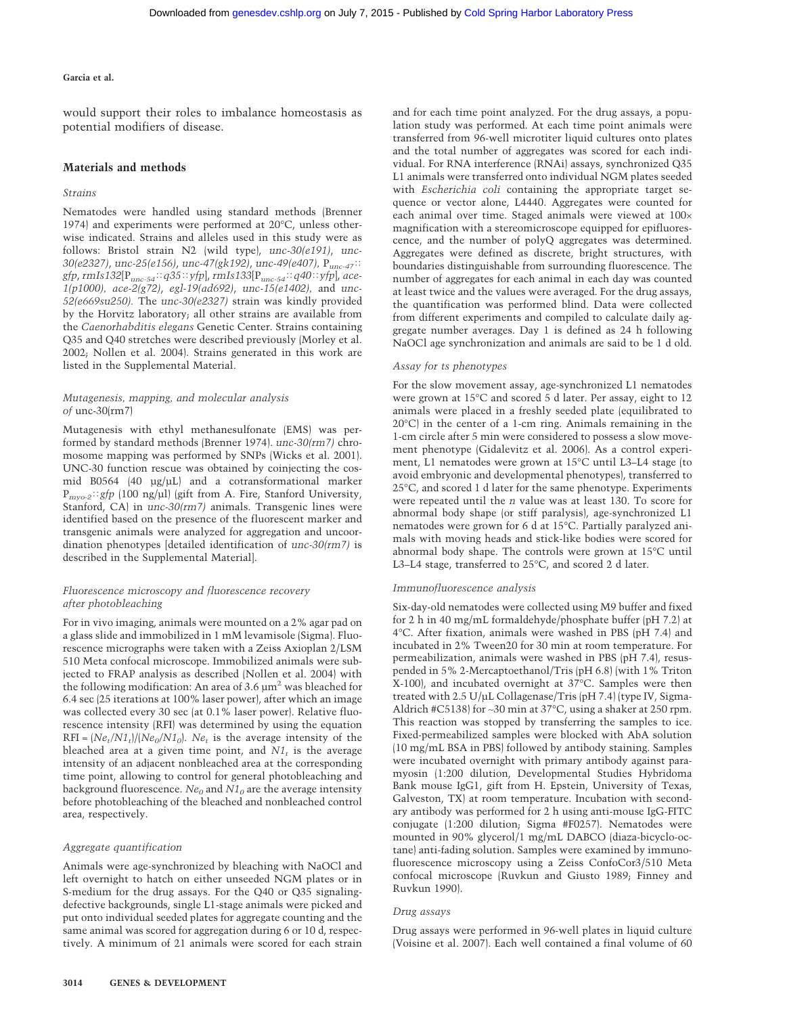would support their roles to imbalance homeostasis as potential modifiers of disease.

#### **Materials and methods**

#### *Strains*

Nematodes were handled using standard methods (Brenner 1974) and experiments were performed at 20°C, unless otherwise indicated. Strains and alleles used in this study were as follows: Bristol strain N2 (wild type), *unc-30(e191)*, *unc-30(e2327)*, *unc-25(e156)*, *unc-47(gk192)*, *unc-49(e407),* P*unc-47*  $gfp$ ,  $rmIs132[P<sub>unc-54</sub>:q35::yfp]$ ,  $rmIs133[P<sub>unc-54</sub>:q40::yfp]$ , ace-*1(p1000), ace-2(g72)*, *egl-19(ad692)*, *unc-15(e1402),* and *unc-52(e669su250).* The *unc-30(e2327)* strain was kindly provided by the Horvitz laboratory; all other strains are available from the *Caenorhabditis elegans* Genetic Center. Strains containing Q35 and Q40 stretches were described previously (Morley et al. 2002; Nollen et al. 2004). Strains generated in this work are listed in the Supplemental Material.

#### *Mutagenesis, mapping, and molecular analysis of* unc-30(rm7)

Mutagenesis with ethyl methanesulfonate (EMS) was performed by standard methods (Brenner 1974). *unc-30(rm7)* chromosome mapping was performed by SNPs (Wicks et al. 2001). UNC-30 function rescue was obtained by coinjecting the cosmid B0564 (40 µg/µL) and a cotransformational marker P<sub>myo-2</sub><sup>2</sup> *gfp* (100 ng/µl) (gift from A. Fire, Stanford University, Stanford, CA) in *unc-30(rm7)* animals. Transgenic lines were identified based on the presence of the fluorescent marker and transgenic animals were analyzed for aggregation and uncoordination phenotypes [detailed identification of *unc-30(rm7)* is described in the Supplemental Material].

# *Fluorescence microscopy and fluorescence recovery after photobleaching*

For in vivo imaging, animals were mounted on a 2% agar pad on a glass slide and immobilized in 1 mM levamisole (Sigma). Fluorescence micrographs were taken with a Zeiss Axioplan 2/LSM 510 Meta confocal microscope. Immobilized animals were subjected to FRAP analysis as described (Nollen et al. 2004) with the following modification: An area of  $3.6 \mu m^2$  was bleached for 6.4 sec (25 iterations at 100% laser power), after which an image was collected every 30 sec (at 0.1% laser power). Relative fluorescence intensity (RFI) was determined by using the equation  $RFI = \frac{Ne_t}{N1_t}$ / $\frac{Ne_0}{N1_0}$ .  $Ne_t$  is the average intensity of the bleached area at a given time point, and  $N1<sub>t</sub>$  is the average intensity of an adjacent nonbleached area at the corresponding time point, allowing to control for general photobleaching and background fluorescence.  $Ne_0$  and  $N1_0$  are the average intensity before photobleaching of the bleached and nonbleached control area, respectively.

#### *Aggregate quantification*

Animals were age-synchronized by bleaching with NaOCl and left overnight to hatch on either unseeded NGM plates or in S-medium for the drug assays. For the Q40 or Q35 signalingdefective backgrounds, single L1-stage animals were picked and put onto individual seeded plates for aggregate counting and the same animal was scored for aggregation during 6 or 10 d, respectively. A minimum of 21 animals were scored for each strain

and for each time point analyzed. For the drug assays, a population study was performed. At each time point animals were transferred from 96-well microtiter liquid cultures onto plates and the total number of aggregates was scored for each individual. For RNA interference (RNAi) assays, synchronized Q35 L1 animals were transferred onto individual NGM plates seeded with *Escherichia coli* containing the appropriate target sequence or vector alone, L4440. Aggregates were counted for each animal over time. Staged animals were viewed at 100× magnification with a stereomicroscope equipped for epifluorescence, and the number of polyQ aggregates was determined. Aggregates were defined as discrete, bright structures, with boundaries distinguishable from surrounding fluorescence. The number of aggregates for each animal in each day was counted at least twice and the values were averaged. For the drug assays, the quantification was performed blind. Data were collected from different experiments and compiled to calculate daily aggregate number averages. Day 1 is defined as 24 h following NaOCl age synchronization and animals are said to be 1 d old.

#### *Assay for ts phenotypes*

For the slow movement assay, age-synchronized L1 nematodes were grown at 15°C and scored 5 d later. Per assay, eight to 12 animals were placed in a freshly seeded plate (equilibrated to 20°C) in the center of a 1-cm ring. Animals remaining in the 1-cm circle after 5 min were considered to possess a slow movement phenotype (Gidalevitz et al. 2006). As a control experiment, L1 nematodes were grown at 15°C until L3–L4 stage (to avoid embryonic and developmental phenotypes), transferred to 25°C, and scored 1 d later for the same phenotype. Experiments were repeated until the *n* value was at least 130. To score for abnormal body shape (or stiff paralysis), age-synchronized L1 nematodes were grown for 6 d at 15°C. Partially paralyzed animals with moving heads and stick-like bodies were scored for abnormal body shape. The controls were grown at 15°C until L3–L4 stage, transferred to 25°C, and scored 2 d later.

#### *Immunofluorescence analysis*

Six-day-old nematodes were collected using M9 buffer and fixed for 2 h in 40 mg/mL formaldehyde/phosphate buffer (pH 7.2) at 4°C. After fixation, animals were washed in PBS (pH 7.4) and incubated in 2% Tween20 for 30 min at room temperature. For permeabilization, animals were washed in PBS (pH 7.4), resuspended in 5% 2-Mercaptoethanol/Tris (pH 6.8) (with 1% Triton X-100), and incubated overnight at 37°C. Samples were then treated with 2.5 U/µL Collagenase/Tris (pH 7.4) (type IV, Sigma-Aldrich #C5138) for ∼30 min at 37°C, using a shaker at 250 rpm. This reaction was stopped by transferring the samples to ice. Fixed-permeabilized samples were blocked with AbA solution (10 mg/mL BSA in PBS) followed by antibody staining. Samples were incubated overnight with primary antibody against paramyosin (1:200 dilution, Developmental Studies Hybridoma Bank mouse IgG1, gift from H. Epstein, University of Texas, Galveston, TX) at room temperature. Incubation with secondary antibody was performed for 2 h using anti-mouse IgG-FITC conjugate (1:200 dilution; Sigma #F0257). Nematodes were mounted in 90% glycerol/1 mg/mL DABCO (diaza-bicyclo-octane) anti-fading solution. Samples were examined by immunofluorescence microscopy using a Zeiss ConfoCor3/510 Meta confocal microscope (Ruvkun and Giusto 1989; Finney and Ruvkun 1990).

#### *Drug assays*

Drug assays were performed in 96-well plates in liquid culture (Voisine et al. 2007). Each well contained a final volume of 60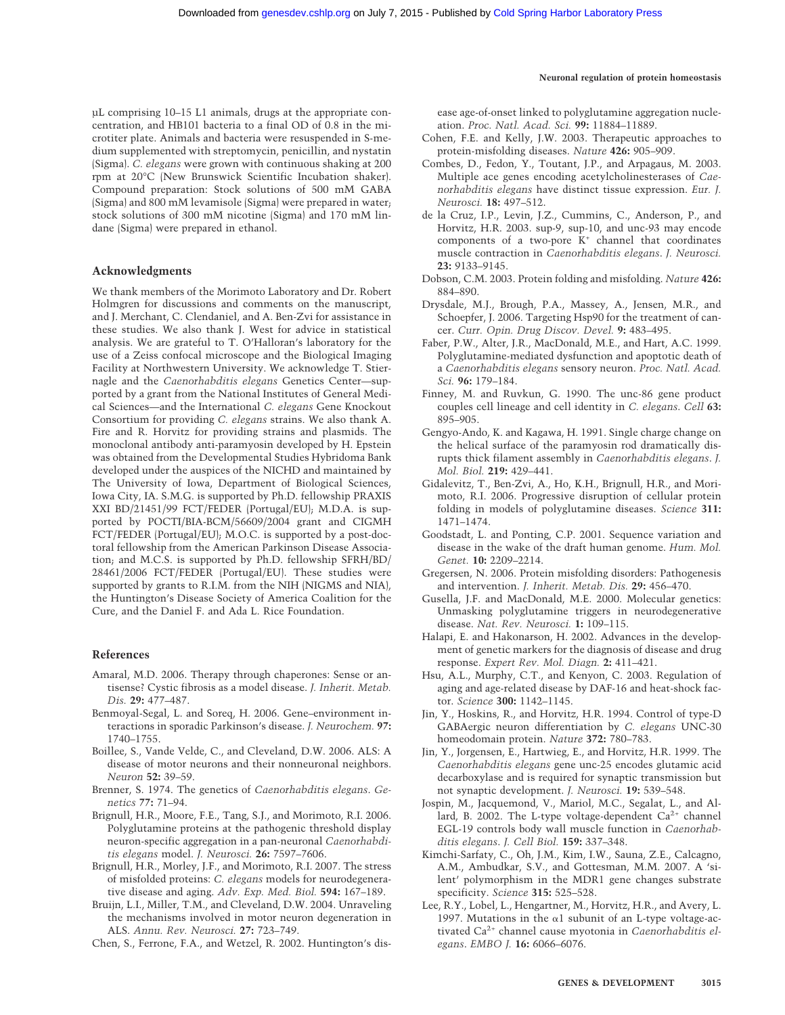µL comprising 10–15 L1 animals, drugs at the appropriate concentration, and HB101 bacteria to a final OD of 0.8 in the microtiter plate. Animals and bacteria were resuspended in S-medium supplemented with streptomycin, penicillin, and nystatin (Sigma). *C. elegans* were grown with continuous shaking at 200 rpm at 20°C (New Brunswick Scientific Incubation shaker). Compound preparation: Stock solutions of 500 mM GABA (Sigma) and 800 mM levamisole (Sigma) were prepared in water; stock solutions of 300 mM nicotine (Sigma) and 170 mM lindane (Sigma) were prepared in ethanol.

# **Acknowledgments**

We thank members of the Morimoto Laboratory and Dr. Robert Holmgren for discussions and comments on the manuscript, and J. Merchant, C. Clendaniel, and A. Ben-Zvi for assistance in these studies. We also thank J. West for advice in statistical analysis. We are grateful to T. O'Halloran's laboratory for the use of a Zeiss confocal microscope and the Biological Imaging Facility at Northwestern University. We acknowledge T. Stiernagle and the *Caenorhabditis elegans* Genetics Center—supported by a grant from the National Institutes of General Medical Sciences—and the International *C. elegans* Gene Knockout Consortium for providing *C. elegans* strains. We also thank A. Fire and R. Horvitz for providing strains and plasmids. The monoclonal antibody anti-paramyosin developed by H. Epstein was obtained from the Developmental Studies Hybridoma Bank developed under the auspices of the NICHD and maintained by The University of Iowa, Department of Biological Sciences, Iowa City, IA. S.M.G. is supported by Ph.D. fellowship PRAXIS XXI BD/21451/99 FCT/FEDER (Portugal/EU); M.D.A. is supported by POCTI/BIA-BCM/56609/2004 grant and CIGMH FCT/FEDER (Portugal/EU); M.O.C. is supported by a post-doctoral fellowship from the American Parkinson Disease Association; and M.C.S. is supported by Ph.D. fellowship SFRH/BD/ 28461/2006 FCT/FEDER (Portugal/EU). These studies were supported by grants to R.I.M. from the NIH (NIGMS and NIA), the Huntington's Disease Society of America Coalition for the Cure, and the Daniel F. and Ada L. Rice Foundation.

# **References**

- Amaral, M.D. 2006. Therapy through chaperones: Sense or antisense? Cystic fibrosis as a model disease. *J. Inherit. Metab. Dis.* **29:** 477–487.
- Benmoyal-Segal, L. and Soreq, H. 2006. Gene–environment interactions in sporadic Parkinson's disease. *J. Neurochem.* **97:** 1740–1755.
- Boillee, S., Vande Velde, C., and Cleveland, D.W. 2006. ALS: A disease of motor neurons and their nonneuronal neighbors. *Neuron* **52:** 39–59.
- Brenner, S. 1974. The genetics of *Caenorhabditis elegans*. *Genetics* **77:** 71–94.
- Brignull, H.R., Moore, F.E., Tang, S.J., and Morimoto, R.I. 2006. Polyglutamine proteins at the pathogenic threshold display neuron-specific aggregation in a pan-neuronal *Caenorhabditis elegans* model. *J. Neurosci.* **26:** 7597–7606.
- Brignull, H.R., Morley, J.F., and Morimoto, R.I. 2007. The stress of misfolded proteins: *C. elegans* models for neurodegenerative disease and aging. *Adv. Exp. Med. Biol.* **594:** 167–189.
- Bruijn, L.I., Miller, T.M., and Cleveland, D.W. 2004. Unraveling the mechanisms involved in motor neuron degeneration in ALS. *Annu. Rev. Neurosci.* **27:** 723–749.
- Chen, S., Ferrone, F.A., and Wetzel, R. 2002. Huntington's dis-

ease age-of-onset linked to polyglutamine aggregation nucleation. *Proc. Natl. Acad. Sci.* **99:** 11884–11889.

- Cohen, F.E. and Kelly, J.W. 2003. Therapeutic approaches to protein-misfolding diseases. *Nature* **426:** 905–909.
- Combes, D., Fedon, Y., Toutant, J.P., and Arpagaus, M. 2003. Multiple ace genes encoding acetylcholinesterases of *Caenorhabditis elegans* have distinct tissue expression. *Eur. J. Neurosci.* **18:** 497–512.
- de la Cruz, I.P., Levin, J.Z., Cummins, C., Anderson, P., and Horvitz, H.R. 2003. sup-9, sup-10, and unc-93 may encode components of a two-pore  $K^+$  channel that coordinates muscle contraction in *Caenorhabditis elegans*. *J. Neurosci.* **23:** 9133–9145.
- Dobson, C.M. 2003. Protein folding and misfolding. *Nature* **426:** 884–890.
- Drysdale, M.J., Brough, P.A., Massey, A., Jensen, M.R., and Schoepfer, J. 2006. Targeting Hsp90 for the treatment of cancer. *Curr. Opin. Drug Discov. Devel.* **9:** 483–495.
- Faber, P.W., Alter, J.R., MacDonald, M.E., and Hart, A.C. 1999. Polyglutamine-mediated dysfunction and apoptotic death of a *Caenorhabditis elegans* sensory neuron. *Proc. Natl. Acad. Sci.* **96:** 179–184.
- Finney, M. and Ruvkun, G. 1990. The unc-86 gene product couples cell lineage and cell identity in *C. elegans*. *Cell* **63:** 895–905.
- Gengyo-Ando, K. and Kagawa, H. 1991. Single charge change on the helical surface of the paramyosin rod dramatically disrupts thick filament assembly in *Caenorhabditis elegans*. *J. Mol. Biol.* **219:** 429–441.
- Gidalevitz, T., Ben-Zvi, A., Ho, K.H., Brignull, H.R., and Morimoto, R.I. 2006. Progressive disruption of cellular protein folding in models of polyglutamine diseases. *Science* **311:** 1471–1474.
- Goodstadt, L. and Ponting, C.P. 2001. Sequence variation and disease in the wake of the draft human genome. *Hum. Mol. Genet.* **10:** 2209–2214.
- Gregersen, N. 2006. Protein misfolding disorders: Pathogenesis and intervention. *J. Inherit. Metab. Dis.* **29:** 456–470.
- Gusella, J.F. and MacDonald, M.E. 2000. Molecular genetics: Unmasking polyglutamine triggers in neurodegenerative disease. *Nat. Rev. Neurosci.* **1:** 109–115.
- Halapi, E. and Hakonarson, H. 2002. Advances in the development of genetic markers for the diagnosis of disease and drug response. *Expert Rev. Mol. Diagn.* **2:** 411–421.
- Hsu, A.L., Murphy, C.T., and Kenyon, C. 2003. Regulation of aging and age-related disease by DAF-16 and heat-shock factor. *Science* **300:** 1142–1145.
- Jin, Y., Hoskins, R., and Horvitz, H.R. 1994. Control of type-D GABAergic neuron differentiation by *C. elegans* UNC-30 homeodomain protein. *Nature* **372:** 780–783.
- Jin, Y., Jorgensen, E., Hartwieg, E., and Horvitz, H.R. 1999. The *Caenorhabditis elegans* gene unc-25 encodes glutamic acid decarboxylase and is required for synaptic transmission but not synaptic development. *J. Neurosci.* **19:** 539–548.
- Jospin, M., Jacquemond, V., Mariol, M.C., Segalat, L., and Allard, B. 2002. The L-type voltage-dependent  $Ca^{2+}$  channel EGL-19 controls body wall muscle function in *Caenorhabditis elegans*. *J. Cell Biol.* **159:** 337–348.
- Kimchi-Sarfaty, C., Oh, J.M., Kim, I.W., Sauna, Z.E., Calcagno, A.M., Ambudkar, S.V., and Gottesman, M.M. 2007. A 'silent' polymorphism in the MDR1 gene changes substrate specificity. *Science* **315:** 525–528.
- Lee, R.Y., Lobel, L., Hengartner, M., Horvitz, H.R., and Avery, L. 1997. Mutations in the  $\alpha$ 1 subunit of an L-type voltage-activated Ca2+ channel cause myotonia in *Caenorhabditis elegans*. *EMBO J.* **16:** 6066–6076.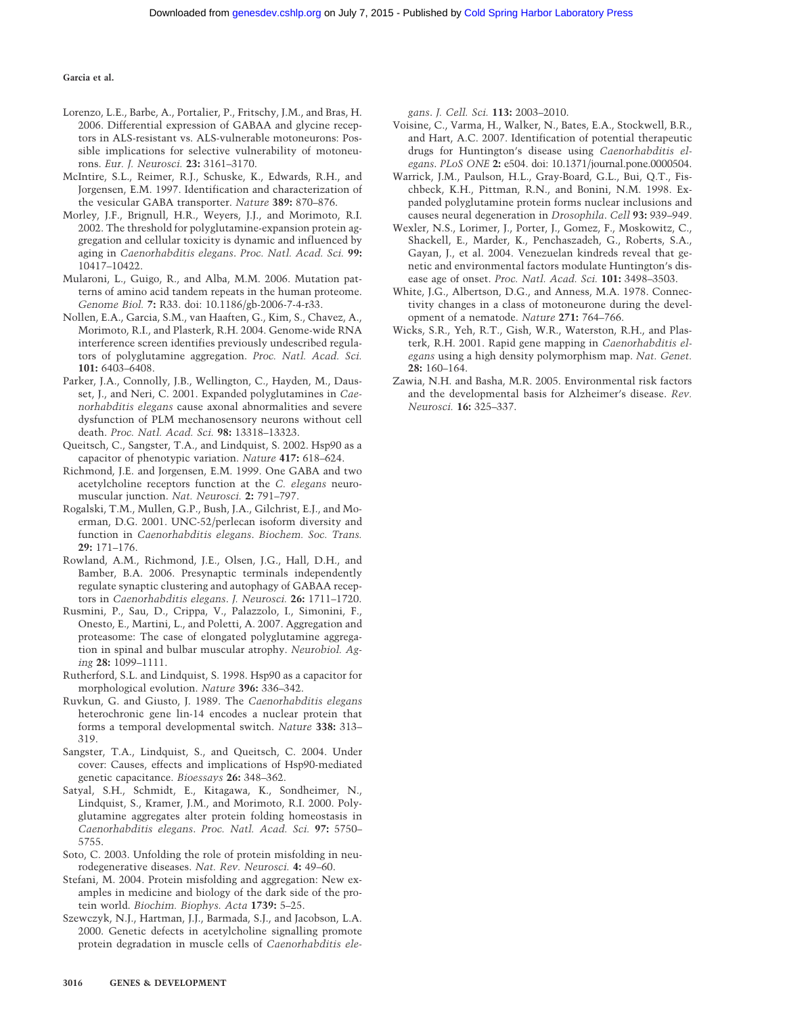- Lorenzo, L.E., Barbe, A., Portalier, P., Fritschy, J.M., and Bras, H. 2006. Differential expression of GABAA and glycine receptors in ALS-resistant vs. ALS-vulnerable motoneurons: Possible implications for selective vulnerability of motoneurons. *Eur. J. Neurosci.* **23:** 3161–3170.
- McIntire, S.L., Reimer, R.J., Schuske, K., Edwards, R.H., and Jorgensen, E.M. 1997. Identification and characterization of the vesicular GABA transporter. *Nature* **389:** 870–876.
- Morley, J.F., Brignull, H.R., Weyers, J.J., and Morimoto, R.I. 2002. The threshold for polyglutamine-expansion protein aggregation and cellular toxicity is dynamic and influenced by aging in *Caenorhabditis elegans*. *Proc. Natl. Acad. Sci.* **99:** 10417–10422.
- Mularoni, L., Guigo, R., and Alba, M.M. 2006. Mutation patterns of amino acid tandem repeats in the human proteome. *Genome Biol.* **7:** R33. doi: 10.1186/gb-2006-7-4-r33.
- Nollen, E.A., Garcia, S.M., van Haaften, G., Kim, S., Chavez, A., Morimoto, R.I., and Plasterk, R.H. 2004. Genome-wide RNA interference screen identifies previously undescribed regulators of polyglutamine aggregation. *Proc. Natl. Acad. Sci.* **101:** 6403–6408.
- Parker, J.A., Connolly, J.B., Wellington, C., Hayden, M., Dausset, J., and Neri, C. 2001. Expanded polyglutamines in *Caenorhabditis elegans* cause axonal abnormalities and severe dysfunction of PLM mechanosensory neurons without cell death. *Proc. Natl. Acad. Sci.* **98:** 13318–13323.
- Queitsch, C., Sangster, T.A., and Lindquist, S. 2002. Hsp90 as a capacitor of phenotypic variation. *Nature* **417:** 618–624.
- Richmond, J.E. and Jorgensen, E.M. 1999. One GABA and two acetylcholine receptors function at the *C. elegans* neuromuscular junction. *Nat. Neurosci.* **2:** 791–797.
- Rogalski, T.M., Mullen, G.P., Bush, J.A., Gilchrist, E.J., and Moerman, D.G. 2001. UNC-52/perlecan isoform diversity and function in *Caenorhabditis elegans*. *Biochem. Soc. Trans.* **29:** 171–176.
- Rowland, A.M., Richmond, J.E., Olsen, J.G., Hall, D.H., and Bamber, B.A. 2006. Presynaptic terminals independently regulate synaptic clustering and autophagy of GABAA receptors in *Caenorhabditis elegans*. *J. Neurosci.* **26:** 1711–1720.
- Rusmini, P., Sau, D., Crippa, V., Palazzolo, I., Simonini, F., Onesto, E., Martini, L., and Poletti, A. 2007. Aggregation and proteasome: The case of elongated polyglutamine aggregation in spinal and bulbar muscular atrophy. *Neurobiol. Aging* **28:** 1099–1111.
- Rutherford, S.L. and Lindquist, S. 1998. Hsp90 as a capacitor for morphological evolution. *Nature* **396:** 336–342.
- Ruvkun, G. and Giusto, J. 1989. The *Caenorhabditis elegans* heterochronic gene lin-14 encodes a nuclear protein that forms a temporal developmental switch. *Nature* **338:** 313– 319.
- Sangster, T.A., Lindquist, S., and Queitsch, C. 2004. Under cover: Causes, effects and implications of Hsp90-mediated genetic capacitance. *Bioessays* **26:** 348–362.
- Satyal, S.H., Schmidt, E., Kitagawa, K., Sondheimer, N., Lindquist, S., Kramer, J.M., and Morimoto, R.I. 2000. Polyglutamine aggregates alter protein folding homeostasis in *Caenorhabditis elegans*. *Proc. Natl. Acad. Sci.* **97:** 5750– 5755.
- Soto, C. 2003. Unfolding the role of protein misfolding in neurodegenerative diseases. *Nat. Rev. Neurosci.* **4:** 49–60.
- Stefani, M. 2004. Protein misfolding and aggregation: New examples in medicine and biology of the dark side of the protein world. *Biochim. Biophys. Acta* **1739:** 5–25.
- Szewczyk, N.J., Hartman, J.J., Barmada, S.J., and Jacobson, L.A. 2000. Genetic defects in acetylcholine signalling promote protein degradation in muscle cells of *Caenorhabditis ele-*

*gans*. *J. Cell. Sci.* **113:** 2003–2010.

- Voisine, C., Varma, H., Walker, N., Bates, E.A., Stockwell, B.R., and Hart, A.C. 2007. Identification of potential therapeutic drugs for Huntington's disease using *Caenorhabditis elegans*. *PLoS ONE* **2:** e504. doi: 10.1371/journal.pone.0000504.
- Warrick, J.M., Paulson, H.L., Gray-Board, G.L., Bui, Q.T., Fischbeck, K.H., Pittman, R.N., and Bonini, N.M. 1998. Expanded polyglutamine protein forms nuclear inclusions and causes neural degeneration in *Drosophila*. *Cell* **93:** 939–949.
- Wexler, N.S., Lorimer, J., Porter, J., Gomez, F., Moskowitz, C., Shackell, E., Marder, K., Penchaszadeh, G., Roberts, S.A., Gayan, J., et al. 2004. Venezuelan kindreds reveal that genetic and environmental factors modulate Huntington's disease age of onset. *Proc. Natl. Acad. Sci.* **101:** 3498–3503.
- White, J.G., Albertson, D.G., and Anness, M.A. 1978. Connectivity changes in a class of motoneurone during the development of a nematode. *Nature* **271:** 764–766.
- Wicks, S.R., Yeh, R.T., Gish, W.R., Waterston, R.H., and Plasterk, R.H. 2001. Rapid gene mapping in *Caenorhabditis elegans* using a high density polymorphism map. *Nat. Genet.* **28:** 160–164.
- Zawia, N.H. and Basha, M.R. 2005. Environmental risk factors and the developmental basis for Alzheimer's disease. *Rev. Neurosci.* **16:** 325–337.